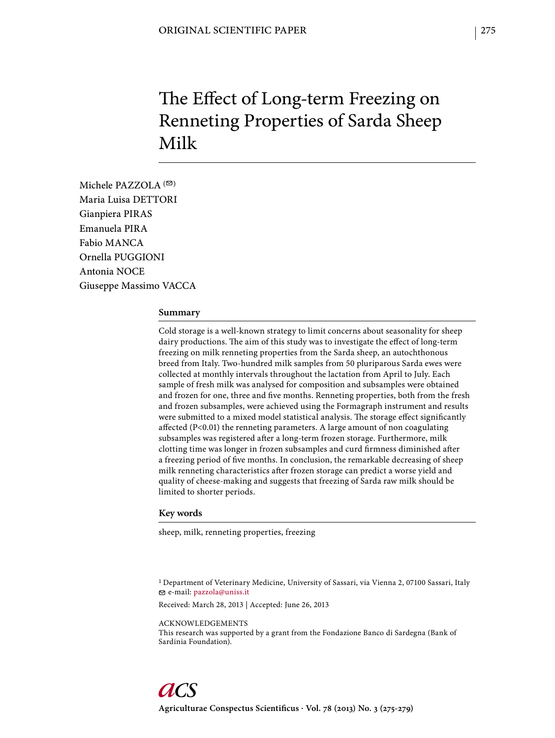# The Effect of Long-term Freezing on Renneting Properties of Sarda Sheep Milk

Michele PAZZOLA $($ Maria Luisa DETTORI Gianpiera PIRAS Emanuela PIRA Fabio MANCA Ornella PUGGIONI Antonia NOCE Giuseppe Massimo VACCA

#### **Summary**

Cold storage is a well-known strategy to limit concerns about seasonality for sheep dairy productions. The aim of this study was to investigate the effect of long-term freezing on milk renneting properties from the Sarda sheep, an autochthonous breed from Italy. Two-hundred milk samples from 50 pluriparous Sarda ewes were collected at monthly intervals throughout the lactation from April to July. Each sample of fresh milk was analysed for composition and subsamples were obtained and frozen for one, three and five months. Renneting properties, both from the fresh and frozen subsamples, were achieved using the Formagraph instrument and results were submitted to a mixed model statistical analysis. The storage effect significantly affected  $(P<0.01)$  the renneting parameters. A large amount of non coagulating subsamples was registered after a long-term frozen storage. Furthermore, milk clotting time was longer in frozen subsamples and curd firmness diminished after a freezing period of five months. In conclusion, the remarkable decreasing of sheep milk renneting characteristics after frozen storage can predict a worse yield and quality of cheese-making and suggests that freezing of Sarda raw milk should be limited to shorter periods.

#### **Key words**

sheep, milk, renneting properties, freezing

1 Department of Veterinary Medicine, University of Sassari, via Vienna 2, 07100 Sassari, Italy e-mail: pazzola@uniss.it

Received: March 28, 2013 | Accepted: June 26, 2013

ACKNOWLEDGEMENTS

This research was supported by a grant from the Fondazione Banco di Sardegna (Bank of Sardinia Foundation).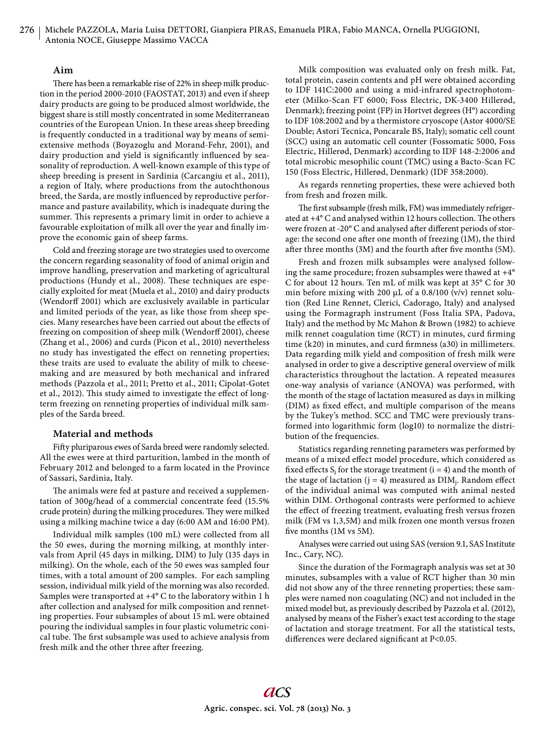## **Aim**

There has been a remarkable rise of 22% in sheep milk production in the period 2000-2010 (FAOSTAT, 2013) and even if sheep dairy products are going to be produced almost worldwide, the biggest share is still mostly concentrated in some Mediterranean countries of the European Union. In these areas sheep breeding is frequently conducted in a traditional way by means of semiextensive methods (Boyazoglu and Morand-Fehr, 2001), and dairy production and yield is significantly influenced by seasonality of reproduction. A well-known example of this type of sheep breeding is present in Sardinia (Carcangiu et al., 2011), a region of Italy, where productions from the autochthonous breed, the Sarda, are mostly influenced by reproductive performance and pasture availability, which is inadequate during the summer. This represents a primary limit in order to achieve a favourable exploitation of milk all over the year and finally improve the economic gain of sheep farms.

Cold and freezing storage are two strategies used to overcome the concern regarding seasonality of food of animal origin and improve handling, preservation and marketing of agricultural productions (Hundy et al., 2008). These techniques are especially exploited for meat (Muela et al., 2010) and dairy products (Wendorff 2001) which are exclusively available in particular and limited periods of the year, as like those from sheep species. Many researches have been carried out about the effects of freezing on composition of sheep milk (Wendorff 2001), cheese (Zhang et al., 2006) and curds (Picon et al., 2010) nevertheless no study has investigated the effect on renneting properties; these traits are used to evaluate the ability of milk to cheesemaking and are measured by both mechanical and infrared methods (Pazzola et al., 2011; Pretto et al., 2011; Cipolat-Gotet et al., 2012). This study aimed to investigate the effect of longterm freezing on renneting properties of individual milk samples of the Sarda breed.

#### **Material and methods**

Fifty pluriparous ewes of Sarda breed were randomly selected. All the ewes were at third parturition, lambed in the month of February 2012 and belonged to a farm located in the Province of Sassari, Sardinia, Italy.

The animals were fed at pasture and received a supplementation of 300g/head of a commercial concentrate feed (15.5% crude protein) during the milking procedures. They were milked using a milking machine twice a day (6:00 AM and 16:00 PM).

Individual milk samples (100 mL) were collected from all the 50 ewes, during the morning milking, at monthly intervals from April (45 days in milking, DIM) to July (135 days in milking). On the whole, each of the 50 ewes was sampled four times, with a total amount of 200 samples. For each sampling session, individual milk yield of the morning was also recorded. Samples were transported at +4° C to the laboratory within 1 h after collection and analysed for milk composition and renneting properties. Four subsamples of about 15 mL were obtained pouring the individual samples in four plastic volumetric conical tube. The first subsample was used to achieve analysis from fresh milk and the other three after freezing.

Milk composition was evaluated only on fresh milk. Fat, total protein, casein contents and pH were obtained according to IDF 141C:2000 and using a mid-infrared spectrophotometer (Milko-Scan FT 6000; Foss Electric, DK-3400 Hillerød, Denmark); freezing point (FP) in Hortvet degrees (H°) according to IDF 108:2002 and by a thermistore cryoscope (Astor 4000/SE Double; Astori Tecnica, Poncarale BS, Italy); somatic cell count (SCC) using an automatic cell counter (Fossomatic 5000, Foss Electric, Hillerød, Denmark) according to IDF 148-2:2006 and total microbic mesophilic count (TMC) using a Bacto-Scan FC 150 (Foss Electric, Hillerød, Denmark) (IDF 358:2000).

As regards renneting properties, these were achieved both from fresh and frozen milk.

The first subsample (fresh milk, FM) was immediately refrigerated at  $+4^{\circ}$  C and analysed within 12 hours collection. The others were frozen at -20° C and analysed after different periods of storage: the second one after one month of freezing  $(1M)$ , the third after three months (3M) and the fourth after five months (5M).

Fresh and frozen milk subsamples were analysed following the same procedure; frozen subsamples were thawed at +4° C for about 12 hours. Ten mL of milk was kept at 35° C for 30 min before mixing with 200  $\mu$ L of a 0.8/100 (v/v) rennet solution (Red Line Rennet, Clerici, Cadorago, Italy) and analysed using the Formagraph instrument (Foss Italia SPA, Padova, Italy) and the method by Mc Mahon & Brown (1982) to achieve milk rennet coagulation time (RCT) in minutes, curd firming time  $(k20)$  in minutes, and curd firmness  $(a30)$  in millimeters. Data regarding milk yield and composition of fresh milk were analysed in order to give a descriptive general overview of milk characteristics throughout the lactation. A repeated measures one-way analysis of variance (ANOVA) was performed, with the month of the stage of lactation measured as days in milking (DIM) as fixed effect, and multiple comparison of the means by the Tukey's method. SCC and TMC were previously transformed into logarithmic form (log10) to normalize the distribution of the frequencies.

Statistics regarding renneting parameters was performed by means of a mixed effect model procedure, which considered as fixed effects  $S_i$  for the storage treatment ( $i = 4$ ) and the month of the stage of lactation ( $j = 4$ ) measured as  $DIM<sub>j</sub>$ . Random effect of the individual animal was computed with animal nested within DIM. Orthogonal contrasts were performed to achieve the effect of freezing treatment, evaluating fresh versus frozen milk (FM vs 1,3,5M) and milk frozen one month versus frozen five months  $(1M \text{ vs } 5M)$ .

Analyses were carried out using SAS (version 9.1, SAS Institute Inc., Cary, NC).

Since the duration of the Formagraph analysis was set at 30 minutes, subsamples with a value of RCT higher than 30 min did not show any of the three renneting properties; these samples were named non coagulating (NC) and not included in the mixed model but, as previously described by Pazzola et al. (2012), analysed by means of the Fisher's exact test according to the stage of lactation and storage treatment. For all the statistical tests, differences were declared significant at P<0.05.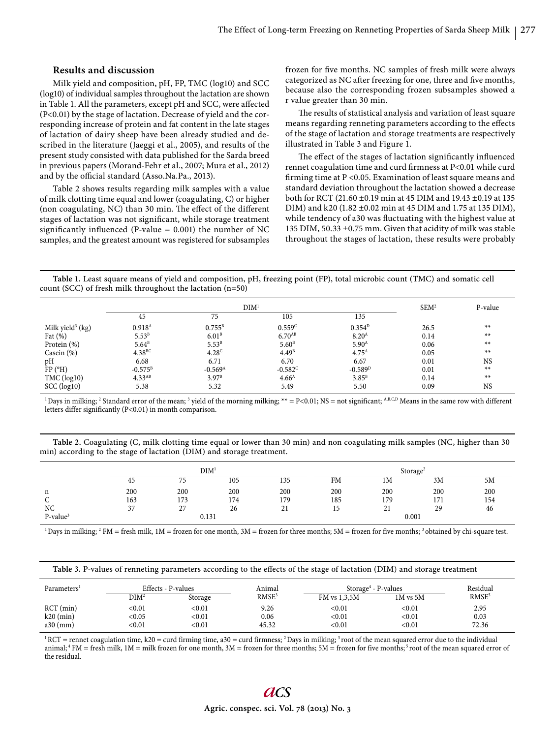## **Results and discussion**

Milk yield and composition, pH, FP, TMC (log10) and SCC (log10) of individual samples throughout the lactation are shown in Table 1. All the parameters, except pH and SCC, were affected (P<0.01) by the stage of lactation. Decrease of yield and the corresponding increase of protein and fat content in the late stages of lactation of dairy sheep have been already studied and described in the literature (Jaeggi et al., 2005), and results of the present study consisted with data published for the Sarda breed in previous papers (Morand-Fehr et al., 2007; Mura et al., 2012) and by the official standard (Asso.Na.Pa., 2013).

Table 2 shows results regarding milk samples with a value of milk clotting time equal and lower (coagulating, C) or higher (non coagulating, NC) than 30 min. The effect of the different stages of lactation was not significant, while storage treatment significantly influenced (P-value =  $0.001$ ) the number of NC samples, and the greatest amount was registered for subsamples frozen for five months. NC samples of fresh milk were always categorized as NC after freezing for one, three and five months, because also the corresponding frozen subsamples showed a r value greater than 30 min.

The results of statistical analysis and variation of least square means regarding renneting parameters according to the effects of the stage of lactation and storage treatments are respectively illustrated in Table 3 and Figure 1.

The effect of the stages of lactation significantly influenced rennet coagulation time and curd firmness at P<0.01 while curd firming time at  $P < 0.05$ . Examination of least square means and standard deviation throughout the lactation showed a decrease both for RCT (21.60 ±0.19 min at 45 DIM and 19.43 ±0.19 at 135 DIM) and k20 (1.82 ±0.02 min at 45 DIM and 1.75 at 135 DIM), while tendency of a30 was fluctuating with the highest value at 135 DIM, 50.33 ±0.75 mm. Given that acidity of milk was stable throughout the stages of lactation, these results were probably

**Table 1.** Least square means of yield and composition, pH, freezing point (FP), total microbic count (TMC) and somatic cell count (SCC) of fresh milk throughout the lactation (n=50)

|                              | DIM <sup>1</sup>     |                       |                      |                   | SEM <sup>2</sup> | P-value   |
|------------------------------|----------------------|-----------------------|----------------------|-------------------|------------------|-----------|
|                              | 45                   | 75                    | 105                  | 135               |                  |           |
| Milk yield <sup>3</sup> (kg) | $0.918^{A}$          | $0.755^{\rm B}$       | 0.559C               | $0.354^{D}$       | 26.5             | $**$      |
| Fat $(\%)$                   | $5.53^{B}$           | 6.01 <sup>B</sup>     | $6.70$ <sup>AB</sup> | 8.20 <sup>A</sup> | 0.14             | $**$      |
| Protein (%)                  | $5.64^{\rm B}$       | $5.53^{B}$            | 5.60 <sup>B</sup>    | $5.90^{\text{A}}$ | 0.06             | $**$      |
| Casein $(\%)$                | $4.38$ <sub>BC</sub> | 4.28 <sup>c</sup>     | 4.49 <sup>B</sup>    | $4.75^{A}$        | 0.05             | $**$      |
| pН                           | 6.68                 | 6.71                  | 6.70                 | 6.67              | 0.01             | <b>NS</b> |
| FP (°H)                      | $-0.575^{\rm B}$     | $-0.569$ <sup>A</sup> | $-0.582^{\circ}$     | $-0.589^{D}$      | 0.01             | $**$      |
| TMC (log10)                  | 4.33 <sup>AB</sup>   | $3.97^{\rm B}$        | 4.66 <sup>A</sup>    | $3.85^{B}$        | 0.14             | $**$      |
| SCC (log10)                  | 5.38                 | 5.32                  | 5.49                 | 5.50              | 0.09             | <b>NS</b> |

<sup>1</sup> Days in milking; <sup>2</sup> Standard error of the mean; <sup>3</sup> yield of the morning milking; \*\* = P<0.01; NS = not significant;  $A$ ,B,C,D Means in the same row with different letters differ significantly (P<0.01) in month comparison.

**Table 2.** Coagulating (C, milk clotting time equal or lower than 30 min) and non coagulating milk samples (NC, higher than 30 min) according to the stage of lactation (DIM) and storage treatment.

|            |     | <b>DIM</b>    |     |     |       | Storage <sup>2</sup>        |     |     |  |
|------------|-----|---------------|-----|-----|-------|-----------------------------|-----|-----|--|
|            | 45  | 75            | 105 | 135 | FM    | 1M                          | 3M  | 5M  |  |
| n          | 200 | 200           | 200 | 200 | 200   | 200                         | 200 | 200 |  |
|            | 163 | 173           | 174 | 179 | 185   | 179                         | 171 | 154 |  |
| NC         | 37  | $\sim$<br>، ت | 26  | 21  |       | $^{\sim}$<br>$\overline{a}$ | 29  | 46  |  |
| $P-value3$ |     | 0.131         |     |     | 0.001 |                             |     |     |  |

 $^1$  Days in milking;  $^2$  FM = fresh milk, 1M = frozen for one month, 3M = frozen for three months; 5M = frozen for five months;  $^3$  obtained by chi-square test.

|  |  | Table 3. P-values of renneting parameters according to the effects of the stage of lactation (DIM) and storage treatment |
|--|--|--------------------------------------------------------------------------------------------------------------------------|
|  |  |                                                                                                                          |

| Parameters <sup>1</sup> | Effects - P-values |               | Animal            | Storage <sup>4</sup> - P-values |              | Residual          |
|-------------------------|--------------------|---------------|-------------------|---------------------------------|--------------|-------------------|
|                         | DIM <sup>2</sup>   | Storage       | RMSE <sup>3</sup> | FM vs 1.3.5M                    | $1M$ vs $5M$ | RMSE <sup>5</sup> |
| $RCT$ (min)             | $<$ 0.01 $\,$      | $<$ 0.01 $\,$ | 9.26              | < 0.01                          | < 0.01       | 2.95              |
| $k20$ (min)             | < 0.05             | < 0.01        | 0.06              | $0.01$                          | < 0.01       | 0.03              |
| $a30$ (mm)              | < 0.01             | $<$ 0.01 $\,$ | 45.32             | < 0.01                          | < 0.01       | 72.36             |

 $1 RCT$  = rennet coagulation time, k20 = curd firming time, a30 = curd firmness;  $2$  Days in milking;  $3$  root of the mean squared error due to the individual animal;  $4 \text{ FM}$  = fresh milk,  $1 \text{M}$  = milk frozen for one month,  $3 \text{M}$  = frozen for three months;  $5 \text{M}$  = frozen for five months;  $5 \text{root}$  of the mean squared error of the residual.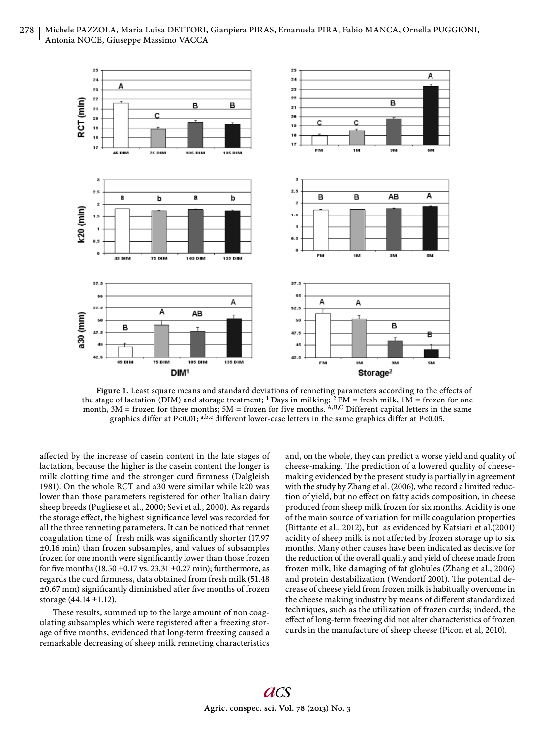



**Figure 1.** Least square means and standard deviations of renneting parameters according to the effects of the stage of lactation (DIM) and storage treatment; <sup>1</sup> Days in milking; <sup>2</sup> FM = fresh milk, 1M = frozen for one month,  $3M$  = frozen for three months;  $5M$  = frozen for five months. A,B,C Different capital letters in the same graphics differ at P<0.01; a,b,c different lower-case letters in the same graphics differ at P<0.05.

affected by the increase of casein content in the late stages of lactation, because the higher is the casein content the longer is milk clotting time and the stronger curd firmness (Dalgleish 1981). On the whole RCT and a30 were similar while k20 was lower than those parameters registered for other Italian dairy sheep breeds (Pugliese et al., 2000; Sevi et al., 2000). As regards the storage effect, the highest significance level was recorded for all the three renneting parameters. It can be noticed that rennet coagulation time of fresh milk was significantly shorter (17.97 ±0.16 min) than frozen subsamples, and values of subsamples frozen for one month were significantly lower than those frozen for five months (18.50  $\pm$ 0.17 vs. 23.31  $\pm$ 0.27 min); furthermore, as regards the curd firmness, data obtained from fresh milk (51.48)  $\pm 0.67$  mm) significantly diminished after five months of frozen storage (44.14 ±1.12).

These results, summed up to the large amount of non coagulating subsamples which were registered after a freezing storage of five months, evidenced that long-term freezing caused a remarkable decreasing of sheep milk renneting characteristics and, on the whole, they can predict a worse yield and quality of cheese-making. The prediction of a lowered quality of cheesemaking evidenced by the present study is partially in agreement with the study by Zhang et al. (2006), who record a limited reduction of yield, but no effect on fatty acids composition, in cheese produced from sheep milk frozen for six months. Acidity is one of the main source of variation for milk coagulation properties (Bittante et al., 2012), but as evidenced by Katsiari et al.(2001) acidity of sheep milk is not affected by frozen storage up to six months. Many other causes have been indicated as decisive for the reduction of the overall quality and yield of cheese made from frozen milk, like damaging of fat globules (Zhang et al., 2006) and protein destabilization (Wendorff 2001). The potential decrease of cheese yield from frozen milk is habitually overcome in the cheese making industry by means of different standardized techniques, such as the utilization of frozen curds; indeed, the effect of long-term freezing did not alter characteristics of frozen curds in the manufacture of sheep cheese (Picon et al, 2010).